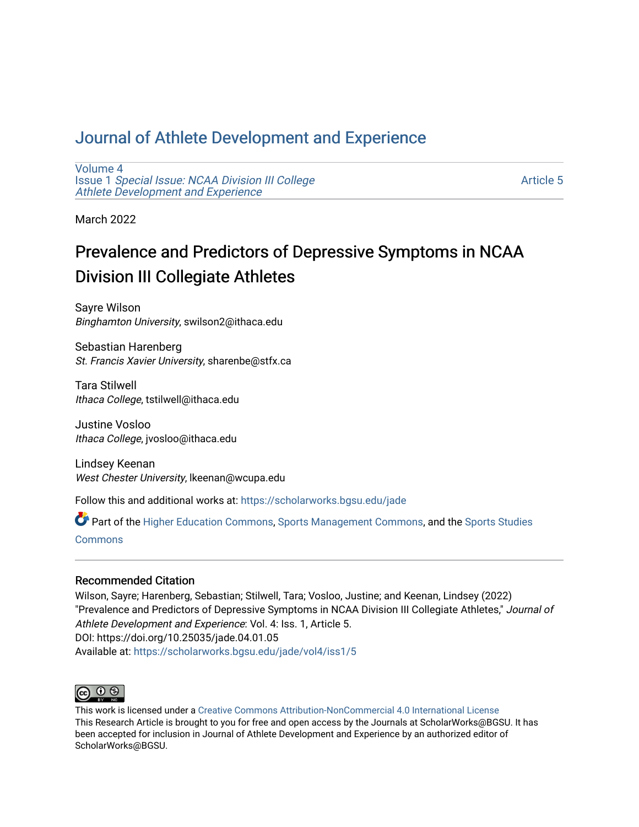## [Journal of Athlete Development and Experience](https://scholarworks.bgsu.edu/jade)

[Volume 4](https://scholarworks.bgsu.edu/jade/vol4) Issue 1 [Special Issue: NCAA Division III College](https://scholarworks.bgsu.edu/jade/vol4/iss1) [Athlete Development and Experience](https://scholarworks.bgsu.edu/jade/vol4/iss1) 

[Article 5](https://scholarworks.bgsu.edu/jade/vol4/iss1/5) 

March 2022

# Prevalence and Predictors of Depressive Symptoms in NCAA Division III Collegiate Athletes

Sayre Wilson Binghamton University, swilson2@ithaca.edu

Sebastian Harenberg St. Francis Xavier University, sharenbe@stfx.ca

Tara Stilwell Ithaca College, tstilwell@ithaca.edu

Justine Vosloo Ithaca College, jvosloo@ithaca.edu

Lindsey Keenan West Chester University, lkeenan@wcupa.edu

Follow this and additional works at: [https://scholarworks.bgsu.edu/jade](https://scholarworks.bgsu.edu/jade?utm_source=scholarworks.bgsu.edu%2Fjade%2Fvol4%2Fiss1%2F5&utm_medium=PDF&utm_campaign=PDFCoverPages) 

Part of the [Higher Education Commons,](http://network.bepress.com/hgg/discipline/1245?utm_source=scholarworks.bgsu.edu%2Fjade%2Fvol4%2Fiss1%2F5&utm_medium=PDF&utm_campaign=PDFCoverPages) [Sports Management Commons,](http://network.bepress.com/hgg/discipline/1193?utm_source=scholarworks.bgsu.edu%2Fjade%2Fvol4%2Fiss1%2F5&utm_medium=PDF&utm_campaign=PDFCoverPages) and the [Sports Studies](http://network.bepress.com/hgg/discipline/1198?utm_source=scholarworks.bgsu.edu%2Fjade%2Fvol4%2Fiss1%2F5&utm_medium=PDF&utm_campaign=PDFCoverPages)  **[Commons](http://network.bepress.com/hgg/discipline/1198?utm_source=scholarworks.bgsu.edu%2Fjade%2Fvol4%2Fiss1%2F5&utm_medium=PDF&utm_campaign=PDFCoverPages)** 

### Recommended Citation

Wilson, Sayre; Harenberg, Sebastian; Stilwell, Tara; Vosloo, Justine; and Keenan, Lindsey (2022) "Prevalence and Predictors of Depressive Symptoms in NCAA Division III Collegiate Athletes," Journal of Athlete Development and Experience: Vol. 4: Iss. 1, Article 5. DOI: https://doi.org/10.25035/jade.04.01.05 Available at: [https://scholarworks.bgsu.edu/jade/vol4/iss1/5](https://scholarworks.bgsu.edu/jade/vol4/iss1/5?utm_source=scholarworks.bgsu.edu%2Fjade%2Fvol4%2Fiss1%2F5&utm_medium=PDF&utm_campaign=PDFCoverPages) 



This work is licensed under a [Creative Commons Attribution-NonCommercial 4.0 International License](https://creativecommons.org/licenses/by-nc/4.0/) This Research Article is brought to you for free and open access by the Journals at ScholarWorks@BGSU. It has been accepted for inclusion in Journal of Athlete Development and Experience by an authorized editor of ScholarWorks@BGSU.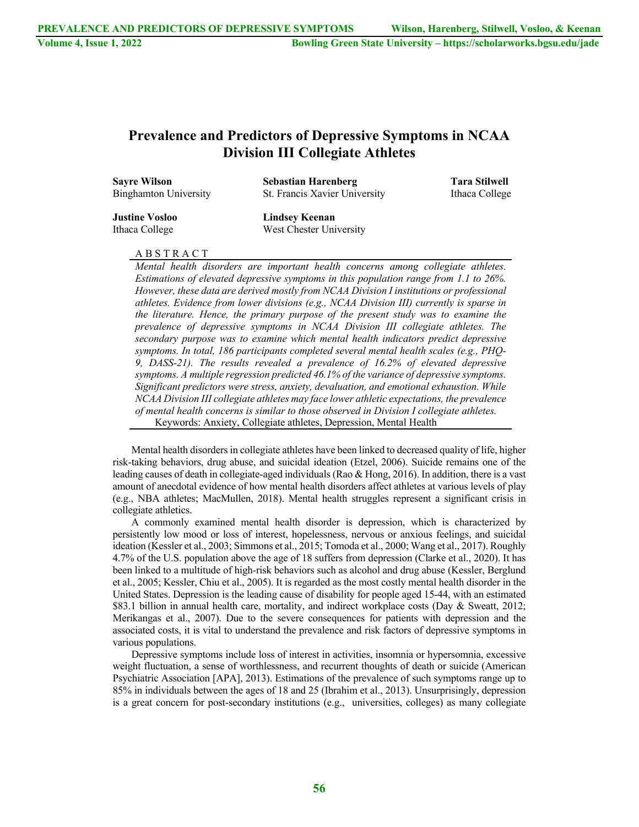## **Prevalence and Predictors of Depressive Symptoms in NCAA Division III Collegiate Athletes**

| <b>Sayre Wilson</b>   | <b>Sebastian Harenberg</b>    | <b>Tara Stilwell</b> |  |  |
|-----------------------|-------------------------------|----------------------|--|--|
| Binghamton University | St. Francis Xavier University | Ithaca College       |  |  |
| <b>Justine Vosloo</b> | Lindsey Keenan                |                      |  |  |
| Ithaca College        | West Chester University       |                      |  |  |

#### A B S T R A C T

*Mental health disorders are important health concerns among collegiate athletes. Estimations of elevated depressive symptoms in this population range from 1.1 to 26%. However, these data are derived mostly from NCAA Division I institutions or professional athletes. Evidence from lower divisions (e.g., NCAA Division III) currently is sparse in the literature. Hence, the primary purpose of the present study was to examine the prevalence of depressive symptoms in NCAA Division III collegiate athletes. The secondary purpose was to examine which mental health indicators predict depressive symptoms. In total, 186 participants completed several mental health scales (e.g., PHQ-9, DASS-21). The results revealed a prevalence of 16.2% of elevated depressive symptoms. A multiple regression predicted 46.1% of the variance of depressive symptoms. Significant predictors were stress, anxiety, devaluation, and emotional exhaustion. While NCAA Division III collegiate athletes may face lower athletic expectations, the prevalence of mental health concerns is similar to those observed in Division I collegiate athletes.* Keywords: Anxiety, Collegiate athletes, Depression, Mental Health

Mental health disorders in collegiate athletes have been linked to decreased quality of life, higher risk-taking behaviors, drug abuse, and suicidal ideation (Etzel, 2006). Suicide remains one of the leading causes of death in collegiate-aged individuals (Rao & Hong, 2016). In addition, there is a vast amount of anecdotal evidence of how mental health disorders affect athletes at various levels of play (e.g., NBA athletes; MacMullen, 2018). Mental health struggles represent a significant crisis in collegiate athletics.

A commonly examined mental health disorder is depression, which is characterized by persistently low mood or loss of interest, hopelessness, nervous or anxious feelings, and suicidal ideation (Kessler et al., 2003; Simmons et al., 2015; Tomoda et al., 2000; Wang et al., 2017). Roughly 4.7% of the U.S. population above the age of 18 suffers from depression (Clarke et al., 2020). It has been linked to a multitude of high-risk behaviors such as alcohol and drug abuse (Kessler, Berglund et al., 2005; Kessler, Chiu et al., 2005). It is regarded as the most costly mental health disorder in the United States. Depression is the leading cause of disability for people aged 15-44, with an estimated \$83.1 billion in annual health care, mortality, and indirect workplace costs (Day & Sweatt, 2012; Merikangas et al., 2007). Due to the severe consequences for patients with depression and the associated costs, it is vital to understand the prevalence and risk factors of depressive symptoms in various populations.

Depressive symptoms include loss of interest in activities, insomnia or hypersomnia, excessive weight fluctuation, a sense of worthlessness, and recurrent thoughts of death or suicide (American Psychiatric Association [APA], 2013). Estimations of the prevalence of such symptoms range up to 85% in individuals between the ages of 18 and 25 (Ibrahim et al., 2013). Unsurprisingly, depression is a great concern for post-secondary institutions (e.g., universities, colleges) as many collegiate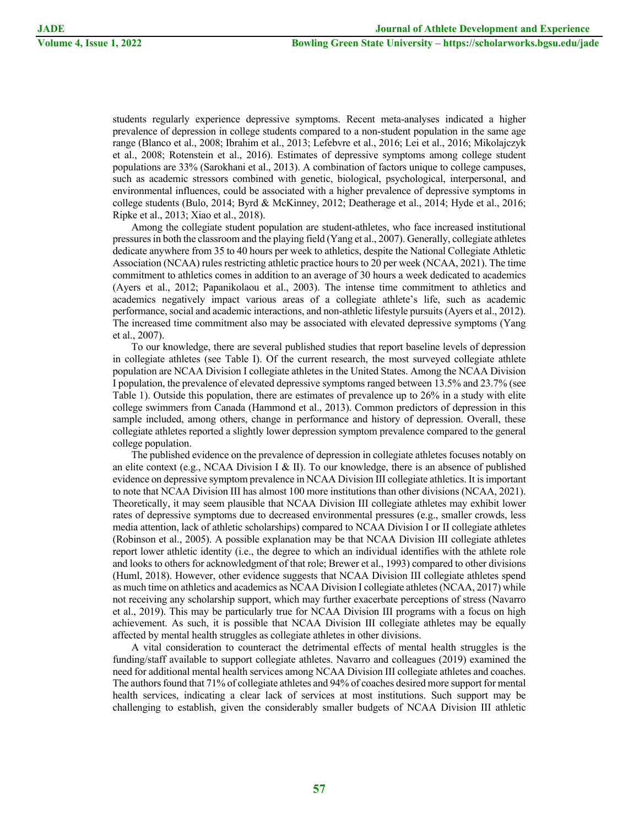students regularly experience depressive symptoms. Recent meta-analyses indicated a higher prevalence of depression in college students compared to a non-student population in the same age range (Blanco et al., 2008; Ibrahim et al., 2013; Lefebvre et al., 2016; Lei et al., 2016; Mikolajczyk et al., 2008; Rotenstein et al., 2016). Estimates of depressive symptoms among college student populations are 33% (Sarokhani et al., 2013). A combination of factors unique to college campuses, such as academic stressors combined with genetic, biological, psychological, interpersonal, and environmental influences, could be associated with a higher prevalence of depressive symptoms in college students (Bulo, 2014; Byrd & McKinney, 2012; Deatherage et al., 2014; Hyde et al., 2016; Ripke et al., 2013; Xiao et al., 2018).

Among the collegiate student population are student-athletes, who face increased institutional pressures in both the classroom and the playing field (Yang et al., 2007). Generally, collegiate athletes dedicate anywhere from 35 to 40 hours per week to athletics, despite the National Collegiate Athletic Association (NCAA) rules restricting athletic practice hours to 20 per week (NCAA, 2021). The time commitment to athletics comes in addition to an average of 30 hours a week dedicated to academics (Ayers et al., 2012; Papanikolaou et al., 2003). The intense time commitment to athletics and academics negatively impact various areas of a collegiate athlete's life, such as academic performance, social and academic interactions, and non-athletic lifestyle pursuits (Ayers et al., 2012). The increased time commitment also may be associated with elevated depressive symptoms (Yang et al., 2007).

To our knowledge, there are several published studies that report baseline levels of depression in collegiate athletes (see Table I). Of the current research, the most surveyed collegiate athlete population are NCAA Division I collegiate athletes in the United States. Among the NCAA Division I population, the prevalence of elevated depressive symptoms ranged between 13.5% and 23.7% (see Table 1). Outside this population, there are estimates of prevalence up to 26% in a study with elite college swimmers from Canada (Hammond et al., 2013). Common predictors of depression in this sample included, among others, change in performance and history of depression. Overall, these collegiate athletes reported a slightly lower depression symptom prevalence compared to the general college population.

The published evidence on the prevalence of depression in collegiate athletes focuses notably on an elite context (e.g., NCAA Division I & II). To our knowledge, there is an absence of published evidence on depressive symptom prevalence in NCAA Division III collegiate athletics. It is important to note that NCAA Division III has almost 100 more institutions than other divisions (NCAA, 2021). Theoretically, it may seem plausible that NCAA Division III collegiate athletes may exhibit lower rates of depressive symptoms due to decreased environmental pressures (e.g., smaller crowds, less media attention, lack of athletic scholarships) compared to NCAA Division I or II collegiate athletes (Robinson et al., 2005). A possible explanation may be that NCAA Division III collegiate athletes report lower athletic identity (i.e., the degree to which an individual identifies with the athlete role and looks to others for acknowledgment of that role; Brewer et al., 1993) compared to other divisions (Huml, 2018). However, other evidence suggests that NCAA Division III collegiate athletes spend as much time on athletics and academics as NCAA Division I collegiate athletes (NCAA, 2017) while not receiving any scholarship support, which may further exacerbate perceptions of stress (Navarro et al., 2019). This may be particularly true for NCAA Division III programs with a focus on high achievement. As such, it is possible that NCAA Division III collegiate athletes may be equally affected by mental health struggles as collegiate athletes in other divisions.

A vital consideration to counteract the detrimental effects of mental health struggles is the funding/staff available to support collegiate athletes. Navarro and colleagues (2019) examined the need for additional mental health services among NCAA Division III collegiate athletes and coaches. The authors found that 71% of collegiate athletes and 94% of coaches desired more support for mental health services, indicating a clear lack of services at most institutions. Such support may be challenging to establish, given the considerably smaller budgets of NCAA Division III athletic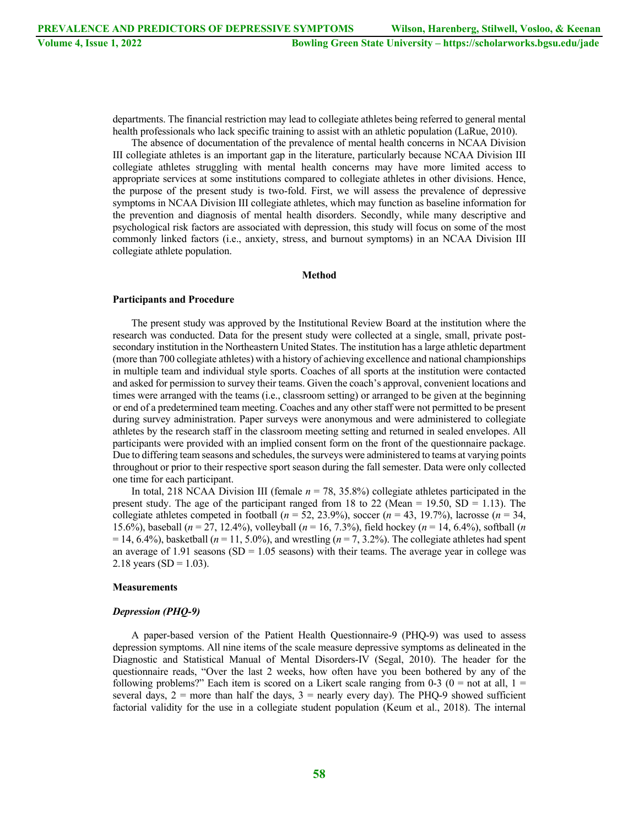departments. The financial restriction may lead to collegiate athletes being referred to general mental health professionals who lack specific training to assist with an athletic population (LaRue, 2010).

The absence of documentation of the prevalence of mental health concerns in NCAA Division III collegiate athletes is an important gap in the literature, particularly because NCAA Division III collegiate athletes struggling with mental health concerns may have more limited access to appropriate services at some institutions compared to collegiate athletes in other divisions. Hence, the purpose of the present study is two-fold. First, we will assess the prevalence of depressive symptoms in NCAA Division III collegiate athletes, which may function as baseline information for the prevention and diagnosis of mental health disorders. Secondly, while many descriptive and psychological risk factors are associated with depression, this study will focus on some of the most commonly linked factors (i.e., anxiety, stress, and burnout symptoms) in an NCAA Division III collegiate athlete population.

#### **Method**

#### **Participants and Procedure**

The present study was approved by the Institutional Review Board at the institution where the research was conducted. Data for the present study were collected at a single, small, private postsecondary institution in the Northeastern United States. The institution has a large athletic department (more than 700 collegiate athletes) with a history of achieving excellence and national championships in multiple team and individual style sports. Coaches of all sports at the institution were contacted and asked for permission to survey their teams. Given the coach's approval, convenient locations and times were arranged with the teams (i.e., classroom setting) or arranged to be given at the beginning or end of a predetermined team meeting. Coaches and any other staff were not permitted to be present during survey administration. Paper surveys were anonymous and were administered to collegiate athletes by the research staff in the classroom meeting setting and returned in sealed envelopes. All participants were provided with an implied consent form on the front of the questionnaire package. Due to differing team seasons and schedules, the surveys were administered to teams at varying points throughout or prior to their respective sport season during the fall semester. Data were only collected one time for each participant.

In total, 218 NCAA Division III (female  $n = 78$ , 35.8%) collegiate athletes participated in the present study. The age of the participant ranged from 18 to 22 (Mean = 19.50,  $SD = 1.13$ ). The collegiate athletes competed in football  $(n = 52, 23.9\%)$ , soccer  $(n = 43, 19.7\%)$ , lacrosse  $(n = 34, 19.7\%)$ 15.6%), baseball (*n* = 27, 12.4%), volleyball (*n* = 16, 7.3%), field hockey (*n* = 14, 6.4%), softball (*n*  $= 14, 6.4\%$ ), basketball ( $n = 11, 5.0\%$ ), and wrestling ( $n = 7, 3.2\%$ ). The collegiate athletes had spent an average of 1.91 seasons (SD = 1.05 seasons) with their teams. The average year in college was 2.18 years (SD = 1.03).

#### **Measurements**

#### *Depression (PHQ-9)*

A paper-based version of the Patient Health Questionnaire-9 (PHQ-9) was used to assess depression symptoms. All nine items of the scale measure depressive symptoms as delineated in the Diagnostic and Statistical Manual of Mental Disorders-IV (Segal, 2010). The header for the questionnaire reads, "Over the last 2 weeks, how often have you been bothered by any of the following problems?" Each item is scored on a Likert scale ranging from 0-3 ( $0 =$  not at all,  $1 =$ several days,  $2 =$  more than half the days,  $3 =$  nearly every day). The PHQ-9 showed sufficient factorial validity for the use in a collegiate student population (Keum et al., 2018). The internal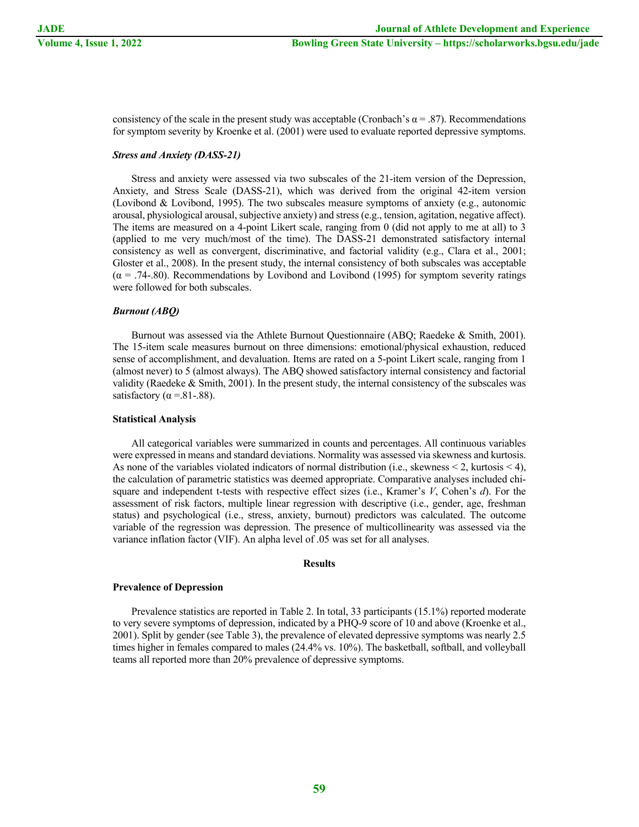consistency of the scale in the present study was acceptable (Cronbach's  $\alpha = .87$ ). Recommendations for symptom severity by Kroenke et al. (2001) were used to evaluate reported depressive symptoms.

#### *Stress and Anxiety (DASS-21)*

Stress and anxiety were assessed via two subscales of the 21-item version of the Depression, Anxiety, and Stress Scale (DASS-21), which was derived from the original 42-item version (Lovibond & Lovibond, 1995). The two subscales measure symptoms of anxiety (e.g., autonomic arousal, physiological arousal, subjective anxiety) and stress (e.g., tension, agitation, negative affect). The items are measured on a 4-point Likert scale, ranging from 0 (did not apply to me at all) to 3 (applied to me very much/most of the time). The DASS-21 demonstrated satisfactory internal consistency as well as convergent, discriminative, and factorial validity (e.g., Clara et al., 2001; Gloster et al., 2008). In the present study, the internal consistency of both subscales was acceptable  $(\alpha = .74..80)$ . Recommendations by Lovibond and Lovibond (1995) for symptom severity ratings were followed for both subscales.

#### *Burnout (ABQ)*

Burnout was assessed via the Athlete Burnout Questionnaire (ABQ; Raedeke & Smith, 2001). The 15-item scale measures burnout on three dimensions: emotional/physical exhaustion, reduced sense of accomplishment, and devaluation. Items are rated on a 5-point Likert scale, ranging from 1 (almost never) to 5 (almost always). The ABQ showed satisfactory internal consistency and factorial validity (Raedeke  $\&$  Smith, 2001). In the present study, the internal consistency of the subscales was satisfactory ( $\alpha$  = 81-.88).

#### **Statistical Analysis**

All categorical variables were summarized in counts and percentages. All continuous variables were expressed in means and standard deviations. Normality was assessed via skewness and kurtosis. As none of the variables violated indicators of normal distribution (i.e., skewness  $\leq 2$ , kurtosis  $\leq 4$ ), the calculation of parametric statistics was deemed appropriate. Comparative analyses included chisquare and independent t-tests with respective effect sizes (i.e., Kramer's *V*, Cohen's *d*). For the assessment of risk factors, multiple linear regression with descriptive (i.e., gender, age, freshman status) and psychological (i.e., stress, anxiety, burnout) predictors was calculated. The outcome variable of the regression was depression. The presence of multicollinearity was assessed via the variance inflation factor (VIF). An alpha level of .05 was set for all analyses.

#### **Results**

#### **Prevalence of Depression**

Prevalence statistics are reported in Table 2. In total, 33 participants (15.1%) reported moderate to very severe symptoms of depression, indicated by a PHQ-9 score of 10 and above (Kroenke et al., 2001). Split by gender (see Table 3), the prevalence of elevated depressive symptoms was nearly 2.5 times higher in females compared to males (24.4% vs. 10%). The basketball, softball, and volleyball teams all reported more than 20% prevalence of depressive symptoms.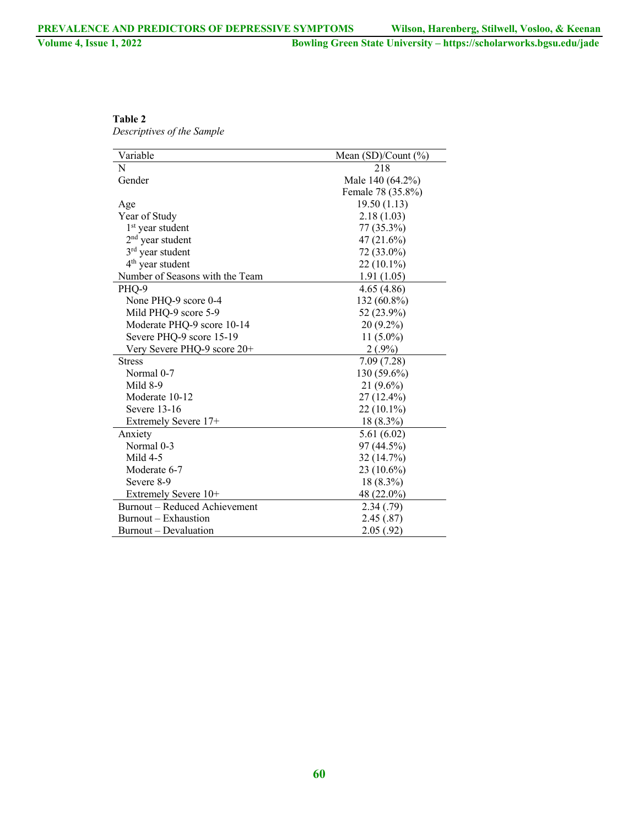| Table 2                    |
|----------------------------|
| Descriptives of the Sample |

| Variable                        | Mean (SD)/Count (%) |
|---------------------------------|---------------------|
| N                               | 218                 |
| Gender                          | Male 140 (64.2%)    |
|                                 | Female 78 (35.8%)   |
| Age                             | 19.50(1.13)         |
| Year of Study                   | 2.18(1.03)          |
| $1st$ year student              | 77 (35.3%)          |
| $2nd$ year student              | 47 (21.6%)          |
| $3rd$ year student              | 72 (33.0%)          |
| $4th$ year student              | $22(10.1\%)$        |
| Number of Seasons with the Team | 1.91(1.05)          |
| PHQ-9                           | 4.65(4.86)          |
| None PHQ-9 score 0-4            | 132 (60.8%)         |
| Mild PHQ-9 score 5-9            | 52 (23.9%)          |
| Moderate PHQ-9 score 10-14      | 20 (9.2%)           |
| Severe PHQ-9 score 15-19        | $11(5.0\%)$         |
| Very Severe PHQ-9 score 20+     | $2(.9\%)$           |
| <b>Stress</b>                   | 7.09(7.28)          |
| Normal 0-7                      | 130 (59.6%)         |
| Mild 8-9                        | $21(9.6\%)$         |
| Moderate 10-12                  | 27 (12.4%)          |
| Severe 13-16                    | $22(10.1\%)$        |
| Extremely Severe 17+            | 18 (8.3%)           |
| Anxiety                         | 5.61(6.02)          |
| Normal 0-3                      | 97 (44.5%)          |
| Mild $4-5$                      | 32 (14.7%)          |
| Moderate 6-7                    | $23(10.6\%)$        |
| Severe 8-9                      | 18 (8.3%)           |
| Extremely Severe 10+            | 48 (22.0%)          |
| Burnout – Reduced Achievement   | 2.34(0.79)          |
| Burnout – Exhaustion            | 2.45(.87)           |
| Burnout - Devaluation           | 2.05(.92)           |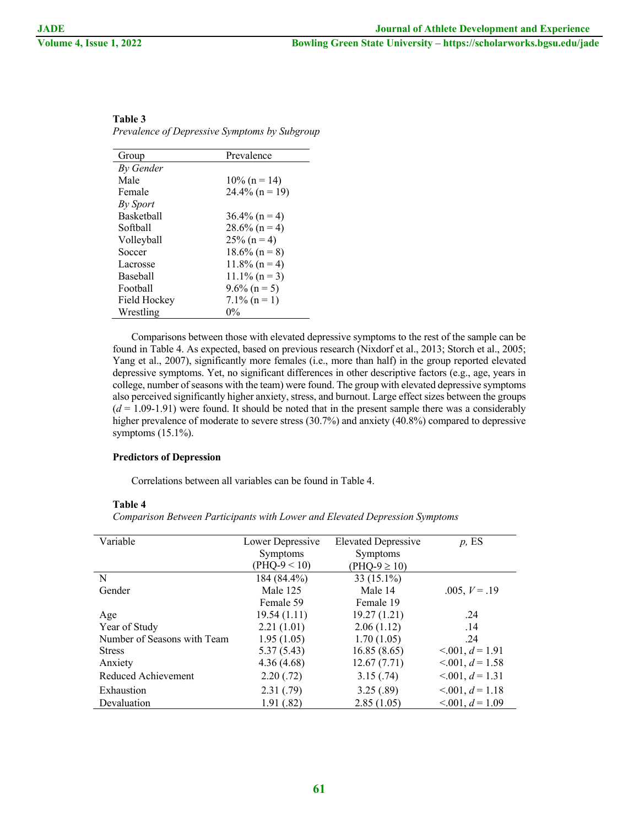| Group        | Prevalence        |
|--------------|-------------------|
| By Gender    |                   |
| Male         | $10\%$ (n = 14)   |
| Female       | $24.4\%$ (n = 19) |
| By Sport     |                   |
| Basketball   | $36.4\%$ (n = 4)  |
| Softball     | $28.6\%$ (n = 4)  |
| Volleyball   | $25\%$ (n = 4)    |
| Soccer       | $18.6\%$ (n = 8)  |
| Lacrosse     | $11.8\%$ (n = 4)  |
| Baseball     | $11.1\%$ (n = 3)  |
| Football     | $9.6\%$ (n = 5)   |
| Field Hockey | $7.1\%$ (n = 1)   |
| Wrestling    | $0\%$             |

#### **Table 3** *Prevalence of Depressive Symptoms by Subgroup*

Comparisons between those with elevated depressive symptoms to the rest of the sample can be found in Table 4. As expected, based on previous research (Nixdorf et al., 2013; Storch et al., 2005; Yang et al., 2007), significantly more females (i.e., more than half) in the group reported elevated depressive symptoms. Yet, no significant differences in other descriptive factors (e.g., age, years in college, number of seasons with the team) were found. The group with elevated depressive symptoms also perceived significantly higher anxiety, stress, and burnout. Large effect sizes between the groups  $(d = 1.09-1.91)$  were found. It should be noted that in the present sample there was a considerably higher prevalence of moderate to severe stress (30.7%) and anxiety (40.8%) compared to depressive symptoms (15.1%).

#### **Predictors of Depression**

Correlations between all variables can be found in Table 4.

#### **Table 4**

*Comparison Between Participants with Lower and Elevated Depression Symptoms*

| Variable                    | Lower Depressive | <b>Elevated Depressive</b> | $p$ , ES               |
|-----------------------------|------------------|----------------------------|------------------------|
|                             |                  |                            |                        |
|                             | <b>Symptoms</b>  | Symptoms                   |                        |
|                             | $(PHQ-9 < 10)$   | $(PHQ-9 \ge 10)$           |                        |
| N                           | 184 (84.4%)      | 33 $(15.1\%)$              |                        |
| Gender                      | Male 125         | Male 14                    | $.005, V = .19$        |
|                             | Female 59        | Female 19                  |                        |
| Age                         | 19.54(1.11)      | 19.27(1.21)                | .24                    |
| Year of Study               | 2.21(1.01)       | 2.06(1.12)                 | .14                    |
| Number of Seasons with Team | 1.95(1.05)       | 1.70(1.05)                 | .24                    |
| <b>Stress</b>               | 5.37(5.43)       | 16.85(8.65)                | $< 0.001, d = 1.91$    |
| Anxiety                     | 4.36(4.68)       | 12.67(7.71)                | $< 0.001, d = 1.58$    |
| Reduced Achievement         | 2.20(.72)        | 3.15(.74)                  | $< 0.01, d = 1.31$     |
| Exhaustion                  | 2.31(.79)        | 3.25(.89)                  | $< 0.01, d = 1.18$     |
| Devaluation                 | 1.91(.82)        | 2.85(1.05)                 | $\leq 0.001, d = 1.09$ |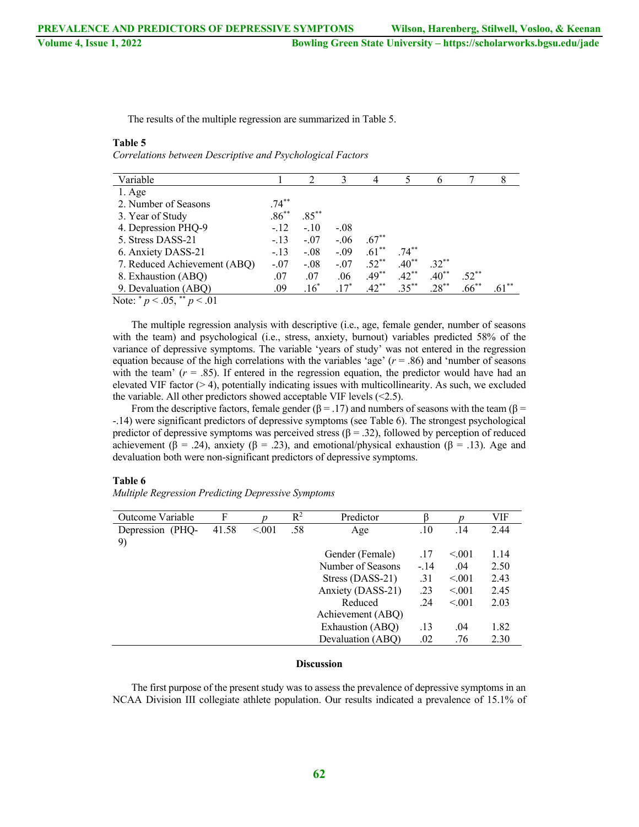The results of the multiple regression are summarized in Table 5.

#### **Table 5**

*Correlations between Descriptive and Psychological Factors*

| Variable                                          |          | $\mathfrak{D}$ | $\mathcal{F}$ | 4        |          | 6        |          |     |
|---------------------------------------------------|----------|----------------|---------------|----------|----------|----------|----------|-----|
| $1. \text{Age}$                                   |          |                |               |          |          |          |          |     |
| 2. Number of Seasons                              | $.74***$ |                |               |          |          |          |          |     |
| 3. Year of Study                                  | $.86***$ | $.85***$       |               |          |          |          |          |     |
| 4. Depression PHQ-9                               | $-.12$   | $-.10$         | $-.08$        |          |          |          |          |     |
| 5. Stress DASS-21                                 | $-.13$   | $-.07$         | $-.06$        | $.67***$ |          |          |          |     |
| 6. Anxiety DASS-21                                | $-.13$   | $-.08$         | $-.09$        | $.61***$ | $.74***$ |          |          |     |
| 7. Reduced Achievement (ABQ)                      | $-.07$   | $-.08$         | $-.07$        | $.52***$ | $.40**$  | $.32***$ |          |     |
| 8. Exhaustion (ABQ)                               | .07      | .07            | .06           | $.49**$  | $.42**$  | $.40**$  | $.52***$ |     |
| 9. Devaluation (ABQ)                              | .09      | $.16^*$        | $.17^*$       | $.42***$ | $.35***$ | $.28***$ | $.66***$ | .61 |
| $N_{\text{atm}}^{*}$ = $\sim 05^{**}$ = $\sim 01$ |          |                |               |          |          |          |          |     |

Note:  $p < .05$ ,  $p < .01$ 

The multiple regression analysis with descriptive (i.e., age, female gender, number of seasons with the team) and psychological (i.e., stress, anxiety, burnout) variables predicted 58% of the variance of depressive symptoms. The variable 'years of study' was not entered in the regression equation because of the high correlations with the variables 'age' (*r* = .86) and 'number of seasons with the team'  $(r = .85)$ . If entered in the regression equation, the predictor would have had an elevated VIF factor  $(> 4)$ , potentially indicating issues with multicollinearity. As such, we excluded the variable. All other predictors showed acceptable VIF levels  $(\leq 2.5)$ .

From the descriptive factors, female gender ( $\beta = .17$ ) and numbers of seasons with the team ( $\beta =$ -.14) were significant predictors of depressive symptoms (see Table 6). The strongest psychological predictor of depressive symptoms was perceived stress ( $\beta = .32$ ), followed by perception of reduced achievement (β = .24), anxiety (β = .23), and emotional/physical exhaustion (β = .13). Age and devaluation both were non-significant predictors of depressive symptoms.

#### **Table 6**

*Multiple Regression Predicting Depressive Symptoms*

| Outcome Variable | F     |         | $R^2$ | Predictor         |        |        | VIF  |
|------------------|-------|---------|-------|-------------------|--------|--------|------|
| Depression (PHQ- | 41.58 | < 0.001 | .58   | Age               | .10    | .14    | 2.44 |
| 9)               |       |         |       |                   |        |        |      |
|                  |       |         |       | Gender (Female)   | .17    | < 0.01 | 1.14 |
|                  |       |         |       | Number of Seasons | $-.14$ | .04    | 2.50 |
|                  |       |         |       | Stress (DASS-21)  | .31    | < 0.01 | 2.43 |
|                  |       |         |       | Anxiety (DASS-21) | .23    | < 0.01 | 2.45 |
|                  |       |         |       | Reduced           | .24    | < 0.01 | 2.03 |
|                  |       |         |       | Achievement (ABQ) |        |        |      |
|                  |       |         |       | Exhaustion (ABQ)  | .13    | .04    | 1.82 |
|                  |       |         |       | Devaluation (ABQ) | .02    | .76    | 2.30 |

#### **Discussion**

The first purpose of the present study was to assess the prevalence of depressive symptoms in an NCAA Division III collegiate athlete population. Our results indicated a prevalence of 15.1% of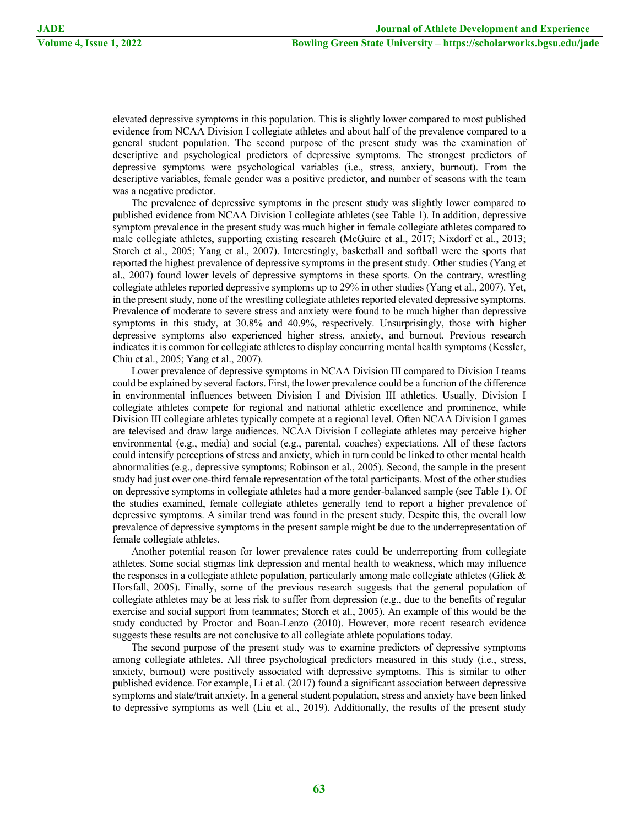elevated depressive symptoms in this population. This is slightly lower compared to most published evidence from NCAA Division I collegiate athletes and about half of the prevalence compared to a general student population. The second purpose of the present study was the examination of descriptive and psychological predictors of depressive symptoms. The strongest predictors of depressive symptoms were psychological variables (i.e., stress, anxiety, burnout). From the descriptive variables, female gender was a positive predictor, and number of seasons with the team was a negative predictor.

The prevalence of depressive symptoms in the present study was slightly lower compared to published evidence from NCAA Division I collegiate athletes (see Table 1). In addition, depressive symptom prevalence in the present study was much higher in female collegiate athletes compared to male collegiate athletes, supporting existing research (McGuire et al., 2017; Nixdorf et al., 2013; Storch et al., 2005; Yang et al., 2007). Interestingly, basketball and softball were the sports that reported the highest prevalence of depressive symptoms in the present study. Other studies (Yang et al., 2007) found lower levels of depressive symptoms in these sports. On the contrary, wrestling collegiate athletes reported depressive symptoms up to 29% in other studies (Yang et al., 2007). Yet, in the present study, none of the wrestling collegiate athletes reported elevated depressive symptoms. Prevalence of moderate to severe stress and anxiety were found to be much higher than depressive symptoms in this study, at 30.8% and 40.9%, respectively. Unsurprisingly, those with higher depressive symptoms also experienced higher stress, anxiety, and burnout. Previous research indicates it is common for collegiate athletes to display concurring mental health symptoms (Kessler, Chiu et al., 2005; Yang et al., 2007).

Lower prevalence of depressive symptoms in NCAA Division III compared to Division I teams could be explained by several factors. First, the lower prevalence could be a function of the difference in environmental influences between Division I and Division III athletics. Usually, Division I collegiate athletes compete for regional and national athletic excellence and prominence, while Division III collegiate athletes typically compete at a regional level. Often NCAA Division I games are televised and draw large audiences. NCAA Division I collegiate athletes may perceive higher environmental (e.g., media) and social (e.g., parental, coaches) expectations. All of these factors could intensify perceptions of stress and anxiety, which in turn could be linked to other mental health abnormalities (e.g., depressive symptoms; Robinson et al., 2005). Second, the sample in the present study had just over one-third female representation of the total participants. Most of the other studies on depressive symptoms in collegiate athletes had a more gender-balanced sample (see Table 1). Of the studies examined, female collegiate athletes generally tend to report a higher prevalence of depressive symptoms. A similar trend was found in the present study. Despite this, the overall low prevalence of depressive symptoms in the present sample might be due to the underrepresentation of female collegiate athletes.

Another potential reason for lower prevalence rates could be underreporting from collegiate athletes. Some social stigmas link depression and mental health to weakness, which may influence the responses in a collegiate athlete population, particularly among male collegiate athletes (Glick  $\&$ Horsfall, 2005). Finally, some of the previous research suggests that the general population of collegiate athletes may be at less risk to suffer from depression (e.g., due to the benefits of regular exercise and social support from teammates; Storch et al., 2005). An example of this would be the study conducted by Proctor and Boan-Lenzo (2010). However, more recent research evidence suggests these results are not conclusive to all collegiate athlete populations today.

The second purpose of the present study was to examine predictors of depressive symptoms among collegiate athletes. All three psychological predictors measured in this study (i.e., stress, anxiety, burnout) were positively associated with depressive symptoms. This is similar to other published evidence. For example, Li et al. (2017) found a significant association between depressive symptoms and state/trait anxiety. In a general student population, stress and anxiety have been linked to depressive symptoms as well (Liu et al., 2019). Additionally, the results of the present study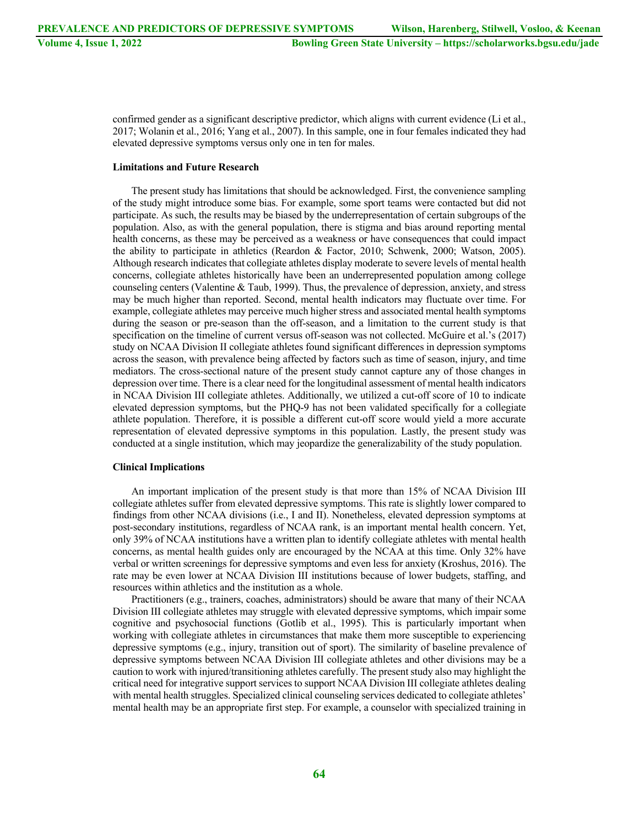confirmed gender as a significant descriptive predictor, which aligns with current evidence (Li et al., 2017; Wolanin et al., 2016; Yang et al., 2007). In this sample, one in four females indicated they had elevated depressive symptoms versus only one in ten for males.

#### **Limitations and Future Research**

The present study has limitations that should be acknowledged. First, the convenience sampling of the study might introduce some bias. For example, some sport teams were contacted but did not participate. As such, the results may be biased by the underrepresentation of certain subgroups of the population. Also, as with the general population, there is stigma and bias around reporting mental health concerns, as these may be perceived as a weakness or have consequences that could impact the ability to participate in athletics (Reardon & Factor, 2010; Schwenk, 2000; Watson, 2005). Although research indicates that collegiate athletes display moderate to severe levels of mental health concerns, collegiate athletes historically have been an underrepresented population among college counseling centers (Valentine & Taub, 1999). Thus, the prevalence of depression, anxiety, and stress may be much higher than reported. Second, mental health indicators may fluctuate over time. For example, collegiate athletes may perceive much higher stress and associated mental health symptoms during the season or pre-season than the off-season, and a limitation to the current study is that specification on the timeline of current versus off-season was not collected. McGuire et al.'s (2017) study on NCAA Division II collegiate athletes found significant differences in depression symptoms across the season, with prevalence being affected by factors such as time of season, injury, and time mediators. The cross-sectional nature of the present study cannot capture any of those changes in depression over time. There is a clear need for the longitudinal assessment of mental health indicators in NCAA Division III collegiate athletes. Additionally, we utilized a cut-off score of 10 to indicate elevated depression symptoms, but the PHQ-9 has not been validated specifically for a collegiate athlete population. Therefore, it is possible a different cut-off score would yield a more accurate representation of elevated depressive symptoms in this population. Lastly, the present study was conducted at a single institution, which may jeopardize the generalizability of the study population.

#### **Clinical Implications**

An important implication of the present study is that more than 15% of NCAA Division III collegiate athletes suffer from elevated depressive symptoms. This rate is slightly lower compared to findings from other NCAA divisions (i.e., I and II). Nonetheless, elevated depression symptoms at post-secondary institutions, regardless of NCAA rank, is an important mental health concern. Yet, only 39% of NCAA institutions have a written plan to identify collegiate athletes with mental health concerns, as mental health guides only are encouraged by the NCAA at this time. Only 32% have verbal or written screenings for depressive symptoms and even less for anxiety (Kroshus, 2016). The rate may be even lower at NCAA Division III institutions because of lower budgets, staffing, and resources within athletics and the institution as a whole.

Practitioners (e.g., trainers, coaches, administrators) should be aware that many of their NCAA Division III collegiate athletes may struggle with elevated depressive symptoms, which impair some cognitive and psychosocial functions (Gotlib et al., 1995). This is particularly important when working with collegiate athletes in circumstances that make them more susceptible to experiencing depressive symptoms (e.g., injury, transition out of sport). The similarity of baseline prevalence of depressive symptoms between NCAA Division III collegiate athletes and other divisions may be a caution to work with injured/transitioning athletes carefully. The present study also may highlight the critical need for integrative support services to support NCAA Division III collegiate athletes dealing with mental health struggles. Specialized clinical counseling services dedicated to collegiate athletes' mental health may be an appropriate first step. For example, a counselor with specialized training in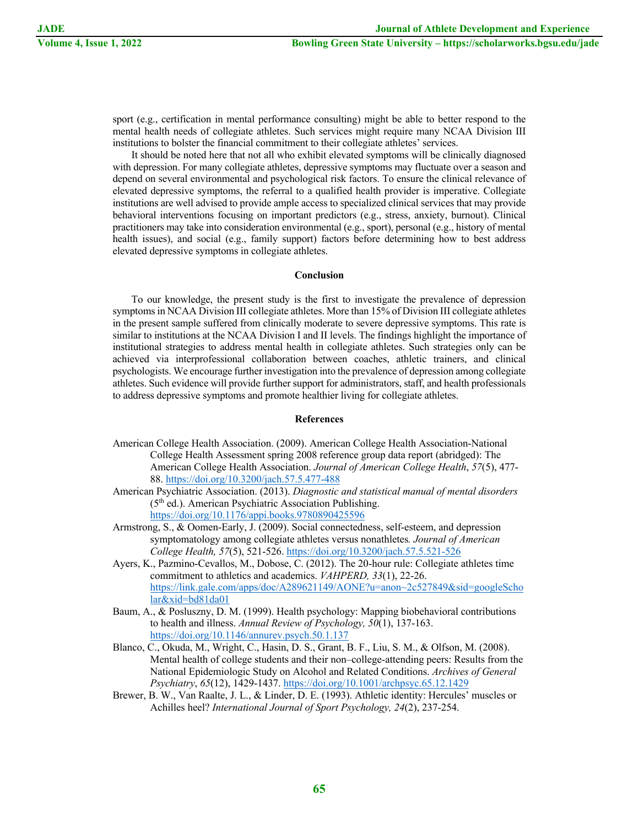sport (e.g., certification in mental performance consulting) might be able to better respond to the mental health needs of collegiate athletes. Such services might require many NCAA Division III institutions to bolster the financial commitment to their collegiate athletes' services.

It should be noted here that not all who exhibit elevated symptoms will be clinically diagnosed with depression. For many collegiate athletes, depressive symptoms may fluctuate over a season and depend on several environmental and psychological risk factors. To ensure the clinical relevance of elevated depressive symptoms, the referral to a qualified health provider is imperative. Collegiate institutions are well advised to provide ample access to specialized clinical services that may provide behavioral interventions focusing on important predictors (e.g., stress, anxiety, burnout). Clinical practitioners may take into consideration environmental (e.g., sport), personal (e.g., history of mental health issues), and social (e.g., family support) factors before determining how to best address elevated depressive symptoms in collegiate athletes.

#### **Conclusion**

To our knowledge, the present study is the first to investigate the prevalence of depression symptoms in NCAA Division III collegiate athletes. More than 15% of Division III collegiate athletes in the present sample suffered from clinically moderate to severe depressive symptoms. This rate is similar to institutions at the NCAA Division I and II levels. The findings highlight the importance of institutional strategies to address mental health in collegiate athletes. Such strategies only can be achieved via interprofessional collaboration between coaches, athletic trainers, and clinical psychologists. We encourage further investigation into the prevalence of depression among collegiate athletes. Such evidence will provide further support for administrators, staff, and health professionals to address depressive symptoms and promote healthier living for collegiate athletes.

#### **References**

- American College Health Association. (2009). American College Health Association-National College Health Assessment spring 2008 reference group data report (abridged): The American College Health Association. *Journal of American College Health*, *57*(5), 477- 88. https://doi.org/10.3200/jach.57.5.477-488
- American Psychiatric Association. (2013). *Diagnostic and statistical manual of mental disorders*   $(5<sup>th</sup>$  ed.). American Psychiatric Association Publishing. https://doi.org/10.1176/appi.books.9780890425596
- Armstrong, S., & Oomen-Early, J. (2009). Social connectedness, self-esteem, and depression symptomatology among collegiate athletes versus nonathletes*. Journal of American College Health, 57*(5), 521-526. https://doi.org/10.3200/jach.57.5.521-526
- Ayers, K., Pazmino-Cevallos, M., Dobose, C. (2012). The 20-hour rule: Collegiate athletes time commitment to athletics and academics. *VAHPERD, 33*(1), 22-26. https://link.gale.com/apps/doc/A289621149/AONE?u=anon~2c527849&sid=googleScho lar&xid=bd81da01
- Baum, A., & Posluszny, D. M. (1999). Health psychology: Mapping biobehavioral contributions to health and illness. *Annual Review of Psychology, 50*(1), 137-163. https://doi.org/10.1146/annurev.psych.50.1.137
- Blanco, C., Okuda, M., Wright, C., Hasin, D. S., Grant, B. F., Liu, S. M., & Olfson, M. (2008). Mental health of college students and their non–college-attending peers: Results from the National Epidemiologic Study on Alcohol and Related Conditions. *Archives of General Psychiatry*, *65*(12), 1429-1437. https://doi.org/10.1001/archpsyc.65.12.1429
- Brewer, B. W., Van Raalte, J. L., & Linder, D. E. (1993). Athletic identity: Hercules' muscles or Achilles heel? *International Journal of Sport Psychology, 24*(2), 237-254.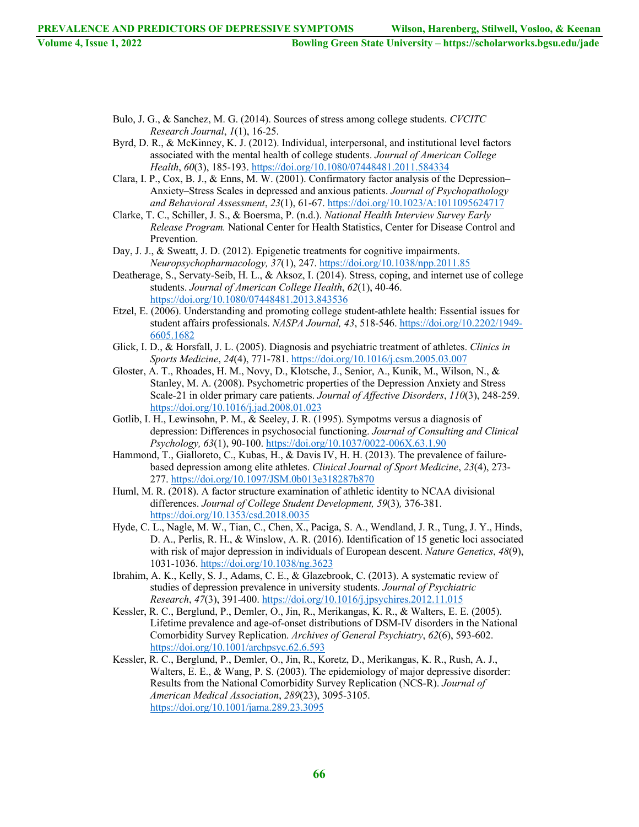- Bulo, J. G., & Sanchez, M. G. (2014). Sources of stress among college students. *CVCITC Research Journal*, *1*(1), 16-25.
- Byrd, D. R., & McKinney, K. J. (2012). Individual, interpersonal, and institutional level factors associated with the mental health of college students. *Journal of American College Health*, *60*(3), 185-193. https://doi.org/10.1080/07448481.2011.584334
- Clara, I. P., Cox, B. J., & Enns, M. W. (2001). Confirmatory factor analysis of the Depression– Anxiety–Stress Scales in depressed and anxious patients. *Journal of Psychopathology and Behavioral Assessment*, *23*(1), 61-67. https://doi.org/10.1023/A:1011095624717
- Clarke, T. C., Schiller, J. S., & Boersma, P. (n.d.). *National Health Interview Survey Early Release Program.* National Center for Health Statistics, Center for Disease Control and Prevention.
- Day, J. J., & Sweatt, J. D. (2012). Epigenetic treatments for cognitive impairments. *Neuropsychopharmacology, 37*(1), 247. https://doi.org/10.1038/npp.2011.85
- Deatherage, S., Servaty-Seib, H. L., & Aksoz, I. (2014). Stress, coping, and internet use of college students. *Journal of American College Health*, *62*(1), 40-46. https://doi.org/10.1080/07448481.2013.843536
- Etzel, E. (2006). Understanding and promoting college student-athlete health: Essential issues for student affairs professionals. *NASPA Journal, 43*, 518-546. https://doi.org/10.2202/1949- 6605.1682
- Glick, I. D., & Horsfall, J. L. (2005). Diagnosis and psychiatric treatment of athletes. *Clinics in Sports Medicine*, *24*(4), 771-781. https://doi.org/10.1016/j.csm.2005.03.007
- Gloster, A. T., Rhoades, H. M., Novy, D., Klotsche, J., Senior, A., Kunik, M., Wilson, N., & Stanley, M. A. (2008). Psychometric properties of the Depression Anxiety and Stress Scale-21 in older primary care patients. *Journal of Affective Disorders*, *110*(3), 248-259. https://doi.org/10.1016/j.jad.2008.01.023
- Gotlib, I. H., Lewinsohn, P. M., & Seeley, J. R. (1995). Sympotms versus a diagnosis of depression: Differences in psychosocial functioning. *Journal of Consulting and Clinical Psychology, 63*(1), 90-100. https://doi.org/10.1037/0022-006X.63.1.90
- Hammond, T., Gialloreto, C., Kubas, H., & Davis IV, H. H. (2013). The prevalence of failurebased depression among elite athletes. *Clinical Journal of Sport Medicine*, *23*(4), 273- 277. https://doi.org/10.1097/JSM.0b013e318287b870
- Huml, M. R. (2018). A factor structure examination of athletic identity to NCAA divisional differences. *Journal of College Student Development, 59*(3)*,* 376-381. https://doi.org/10.1353/csd.2018.0035
- Hyde, C. L., Nagle, M. W., Tian, C., Chen, X., Paciga, S. A., Wendland, J. R., Tung, J. Y., Hinds, D. A., Perlis, R. H., & Winslow, A. R. (2016). Identification of 15 genetic loci associated with risk of major depression in individuals of European descent. *Nature Genetics*, *48*(9), 1031-1036. https://doi.org/10.1038/ng.3623
- Ibrahim, A. K., Kelly, S. J., Adams, C. E., & Glazebrook, C. (2013). A systematic review of studies of depression prevalence in university students. *Journal of Psychiatric Research*, *47*(3), 391-400. https://doi.org/10.1016/j.jpsychires.2012.11.015
- Kessler, R. C., Berglund, P., Demler, O., Jin, R., Merikangas, K. R., & Walters, E. E. (2005). Lifetime prevalence and age-of-onset distributions of DSM-IV disorders in the National Comorbidity Survey Replication. *Archives of General Psychiatry*, *62*(6), 593-602. https://doi.org/10.1001/archpsyc.62.6.593
- Kessler, R. C., Berglund, P., Demler, O., Jin, R., Koretz, D., Merikangas, K. R., Rush, A. J., Walters, E. E., & Wang, P. S. (2003). The epidemiology of major depressive disorder: Results from the National Comorbidity Survey Replication (NCS-R). *Journal of American Medical Association*, *289*(23), 3095-3105. https://doi.org/10.1001/jama.289.23.3095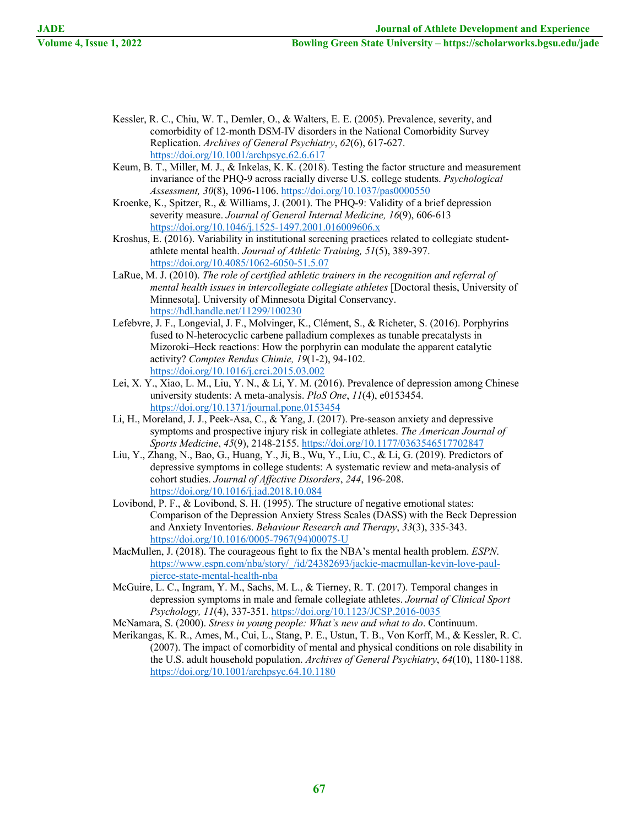- Kessler, R. C., Chiu, W. T., Demler, O., & Walters, E. E. (2005). Prevalence, severity, and comorbidity of 12-month DSM-IV disorders in the National Comorbidity Survey Replication. *Archives of General Psychiatry*, *62*(6), 617-627. https://doi.org/10.1001/archpsyc.62.6.617
- Keum, B. T., Miller, M. J., & Inkelas, K. K. (2018). Testing the factor structure and measurement invariance of the PHQ-9 across racially diverse U.S. college students. *Psychological Assessment, 30*(8), 1096-1106. https://doi.org/10.1037/pas0000550
- Kroenke, K., Spitzer, R., & Williams, J. (2001). The PHQ-9: Validity of a brief depression severity measure. *Journal of General Internal Medicine, 16*(9), 606-613 https://doi.org/10.1046/j.1525-1497.2001.016009606.x
- Kroshus, E. (2016). Variability in institutional screening practices related to collegiate studentathlete mental health. *Journal of Athletic Training, 51*(5), 389-397. https://doi.org/10.4085/1062-6050-51.5.07
- LaRue, M. J. (2010). *The role of certified athletic trainers in the recognition and referral of mental health issues in intercollegiate collegiate athletes* [Doctoral thesis, University of Minnesota]. University of Minnesota Digital Conservancy. https://hdl.handle.net/11299/100230
- Lefebvre, J. F., Longevial, J. F., Molvinger, K., Clément, S., & Richeter, S. (2016). Porphyrins fused to N-heterocyclic carbene palladium complexes as tunable precatalysts in Mizoroki–Heck reactions: How the porphyrin can modulate the apparent catalytic activity? *Comptes Rendus Chimie, 19*(1-2), 94-102. https://doi.org/10.1016/j.crci.2015.03.002
- Lei, X. Y., Xiao, L. M., Liu, Y. N., & Li, Y. M. (2016). Prevalence of depression among Chinese university students: A meta-analysis. *PloS One*, *11*(4), e0153454. https://doi.org/10.1371/journal.pone.0153454
- Li, H., Moreland, J. J., Peek-Asa, C., & Yang, J. (2017). Pre-season anxiety and depressive symptoms and prospective injury risk in collegiate athletes. *The American Journal of Sports Medicine*, *45*(9), 2148-2155. https://doi.org/10.1177/0363546517702847
- Liu, Y., Zhang, N., Bao, G., Huang, Y., Ji, B., Wu, Y., Liu, C., & Li, G. (2019). Predictors of depressive symptoms in college students: A systematic review and meta-analysis of cohort studies. *Journal of Affective Disorders*, *244*, 196-208. https://doi.org/10.1016/j.jad.2018.10.084
- Lovibond, P. F., & Lovibond, S. H. (1995). The structure of negative emotional states: Comparison of the Depression Anxiety Stress Scales (DASS) with the Beck Depression and Anxiety Inventories. *Behaviour Research and Therapy*, *33*(3), 335-343. https://doi.org/10.1016/0005-7967(94)00075-U
- MacMullen, J. (2018). The courageous fight to fix the NBA's mental health problem. *ESPN*. https://www.espn.com/nba/story/\_/id/24382693/jackie-macmullan-kevin-love-paulpierce-state-mental-health-nba
- McGuire, L. C., Ingram, Y. M., Sachs, M. L., & Tierney, R. T. (2017). Temporal changes in depression symptoms in male and female collegiate athletes. *Journal of Clinical Sport Psychology, 11*(4), 337-351. https://doi.org/10.1123/JCSP.2016-0035
- McNamara, S. (2000). *Stress in young people: What's new and what to do*. Continuum.
- Merikangas, K. R., Ames, M., Cui, L., Stang, P. E., Ustun, T. B., Von Korff, M., & Kessler, R. C. (2007). The impact of comorbidity of mental and physical conditions on role disability in the U.S. adult household population. *Archives of General Psychiatry*, *64*(10), 1180-1188. https://doi.org/10.1001/archpsyc.64.10.1180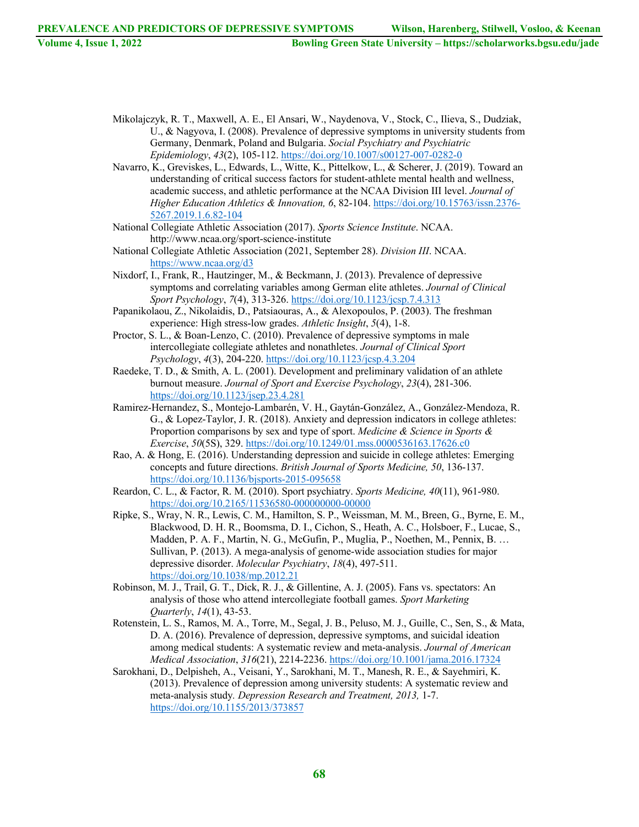- Mikolajczyk, R. T., Maxwell, A. E., El Ansari, W., Naydenova, V., Stock, C., Ilieva, S., Dudziak, U., & Nagyova, I. (2008). Prevalence of depressive symptoms in university students from Germany, Denmark, Poland and Bulgaria. *Social Psychiatry and Psychiatric Epidemiology*, *43*(2), 105-112. https://doi.org/10.1007/s00127-007-0282-0
- Navarro, K., Greviskes, L., Edwards, L., Witte, K., Pittelkow, L., & Scherer, J. (2019). Toward an understanding of critical success factors for student-athlete mental health and wellness, academic success, and athletic performance at the NCAA Division III level. *Journal of Higher Education Athletics & Innovation, 6*, 82-104. https://doi.org/10.15763/issn.2376- 5267.2019.1.6.82-104
- National Collegiate Athletic Association (2017). *Sports Science Institute*. NCAA. http://www.ncaa.org/sport-science-institute
- National Collegiate Athletic Association (2021, September 28). *Division III*. NCAA. https://www.ncaa.org/d3
- Nixdorf, I., Frank, R., Hautzinger, M., & Beckmann, J. (2013). Prevalence of depressive symptoms and correlating variables among German elite athletes. *Journal of Clinical Sport Psychology*, *7*(4), 313-326. https://doi.org/10.1123/jcsp.7.4.313
- Papanikolaou, Z., Nikolaidis, D., Patsiaouras, A., & Alexopoulos, P. (2003). The freshman experience: High stress-low grades. *Athletic Insight*, *5*(4), 1-8.
- Proctor, S. L., & Boan-Lenzo, C. (2010). Prevalence of depressive symptoms in male intercollegiate collegiate athletes and nonathletes. *Journal of Clinical Sport Psychology*, *4*(3), 204-220. https://doi.org/10.1123/jcsp.4.3.204
- Raedeke, T. D., & Smith, A. L. (2001). Development and preliminary validation of an athlete burnout measure. *Journal of Sport and Exercise Psychology*, *23*(4), 281-306. https://doi.org/10.1123/jsep.23.4.281
- Ramirez-Hernandez, S., Montejo-Lambarén, V. H., Gaytán-González, A., González-Mendoza, R. G., & Lopez-Taylor, J. R. (2018). Anxiety and depression indicators in college athletes: Proportion comparisons by sex and type of sport. *Medicine & Science in Sports & Exercise*, *50*(5S), 329. https://doi.org/10.1249/01.mss.0000536163.17626.c0
- Rao, A. & Hong, E. (2016). Understanding depression and suicide in college athletes: Emerging concepts and future directions. *British Journal of Sports Medicine, 50*, 136-137. https://doi.org/10.1136/bjsports-2015-095658
- Reardon, C. L., & Factor, R. M. (2010). Sport psychiatry. *Sports Medicine, 40*(11), 961-980. https://doi.org/10.2165/11536580-000000000-00000
- Ripke, S., Wray, N. R., Lewis, C. M., Hamilton, S. P., Weissman, M. M., Breen, G., Byrne, E. M., Blackwood, D. H. R., Boomsma, D. I., Cichon, S., Heath, A. C., Holsboer, F., Lucae, S., Madden, P. A. F., Martin, N. G., McGufin, P., Muglia, P., Noethen, M., Pennix, B. … Sullivan, P. (2013). A mega-analysis of genome-wide association studies for major depressive disorder. *Molecular Psychiatry*, *18*(4), 497-511. https://doi.org/10.1038/mp.2012.21
- Robinson, M. J., Trail, G. T., Dick, R. J., & Gillentine, A. J. (2005). Fans vs. spectators: An analysis of those who attend intercollegiate football games. *Sport Marketing Quarterly*, *14*(1), 43-53.
- Rotenstein, L. S., Ramos, M. A., Torre, M., Segal, J. B., Peluso, M. J., Guille, C., Sen, S., & Mata, D. A. (2016). Prevalence of depression, depressive symptoms, and suicidal ideation among medical students: A systematic review and meta-analysis. *Journal of American Medical Association*, *316*(21), 2214-2236. https://doi.org/10.1001/jama.2016.17324
- Sarokhani, D., Delpisheh, A., Veisani, Y., Sarokhani, M. T., Manesh, R. E., & Sayehmiri, K. (2013). Prevalence of depression among university students: A systematic review and meta-analysis study*. Depression Research and Treatment, 2013,* 1-7. https://doi.org/10.1155/2013/373857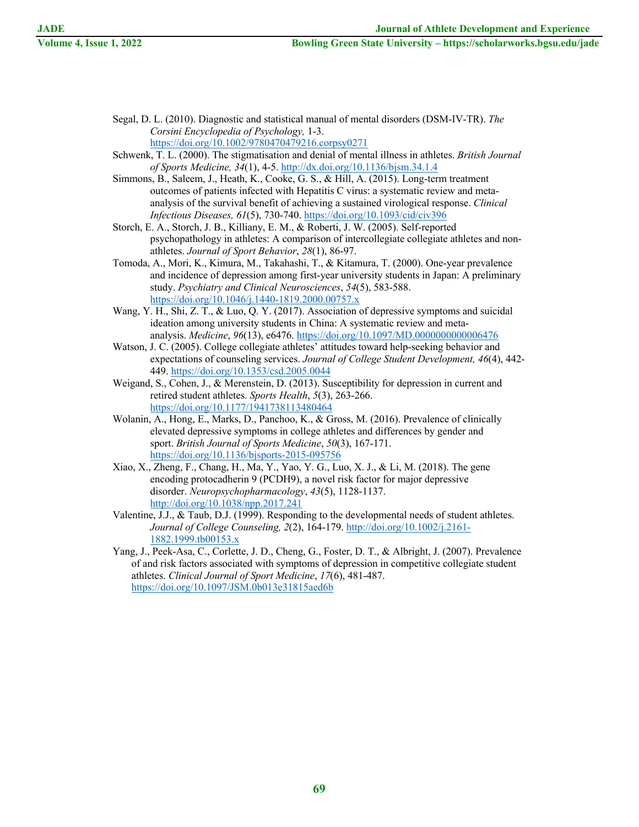- Segal, D. L. (2010). Diagnostic and statistical manual of mental disorders (DSM‐IV‐TR). *The Corsini Encyclopedia of Psychology,* 1-3. https://doi.org/10.1002/9780470479216.corpsy0271
- Schwenk, T. L. (2000). The stigmatisation and denial of mental illness in athletes. *British Journal of Sports Medicine, 34*(1), 4-5. http://dx.doi.org/10.1136/bjsm.34.1.4
- Simmons, B., Saleem, J., Heath, K., Cooke, G. S., & Hill, A. (2015). Long-term treatment outcomes of patients infected with Hepatitis C virus: a systematic review and metaanalysis of the survival benefit of achieving a sustained virological response. *Clinical Infectious Diseases, 61*(5), 730-740. https://doi.org/10.1093/cid/civ396
- Storch, E. A., Storch, J. B., Killiany, E. M., & Roberti, J. W. (2005). Self-reported psychopathology in athletes: A comparison of intercollegiate collegiate athletes and nonathletes. *Journal of Sport Behavior*, *28*(1), 86-97.
- Tomoda, A., Mori, K., Kimura, M., Takahashi, T., & Kitamura, T. (2000). One‐year prevalence and incidence of depression among first‐year university students in Japan: A preliminary study. *Psychiatry and Clinical Neurosciences*, *54*(5), 583-588. https://doi.org/10.1046/j.1440-1819.2000.00757.x
- Wang, Y. H., Shi, Z. T., & Luo, Q. Y. (2017). Association of depressive symptoms and suicidal ideation among university students in China: A systematic review and metaanalysis. *Medicine*, *96*(13), e6476. https://doi.org/10.1097/MD.0000000000006476
- Watson, J. C. (2005). College collegiate athletes' attitudes toward help-seeking behavior and expectations of counseling services. *Journal of College Student Development, 46*(4), 442- 449. https://doi.org/10.1353/csd.2005.0044
- Weigand, S., Cohen, J., & Merenstein, D. (2013). Susceptibility for depression in current and retired student athletes. *Sports Health*, *5*(3), 263-266. https://doi.org/10.1177/1941738113480464
- Wolanin, A., Hong, E., Marks, D., Panchoo, K., & Gross, M. (2016). Prevalence of clinically elevated depressive symptoms in college athletes and differences by gender and sport. *British Journal of Sports Medicine*, *50*(3), 167-171. https://doi.org/10.1136/bjsports-2015-095756
- Xiao, X., Zheng, F., Chang, H., Ma, Y., Yao, Y. G., Luo, X. J., & Li, M. (2018). The gene encoding protocadherin 9 (PCDH9), a novel risk factor for major depressive disorder. *Neuropsychopharmacology*, *43*(5), 1128-1137. http://doi.org/10.1038/npp.2017.241
- Valentine, J.J., & Taub, D.J. (1999). Responding to the developmental needs of student athletes. *Journal of College Counseling, 2*(2), 164-179. http://doi.org/10.1002/j.2161- 1882.1999.tb00153.x
- Yang, J., Peek-Asa, C., Corlette, J. D., Cheng, G., Foster, D. T., & Albright, J. (2007). Prevalence of and risk factors associated with symptoms of depression in competitive collegiate student athletes. *Clinical Journal of Sport Medicine*, *17*(6), 481-487. https://doi.org/10.1097/JSM.0b013e31815aed6b